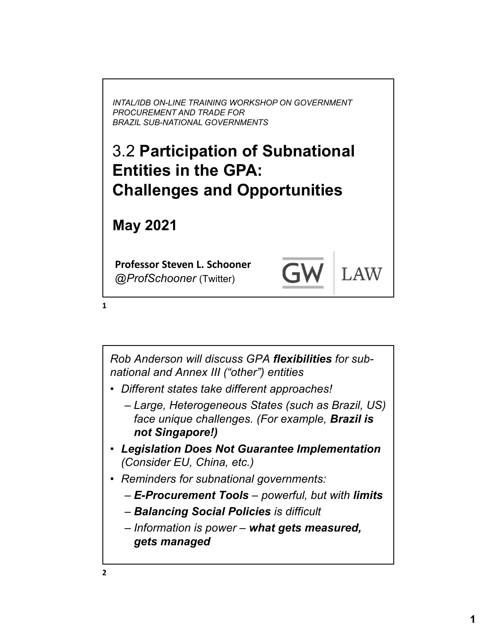*INTAL/IDB ON-LINE TRAINING WORKSHOP ON GOVERNMENT PROCUREMENT AND TRADE FOR BRAZIL SUB-NATIONAL GOVERNMENTS*

#### 3.2 **Participation of Subnational Entities in the GPA: Challenges and Opportunities**

**May 2021**

**Professor Steven L. Schooner** *@ProfSchooner* (Twitter)

**LAW** 

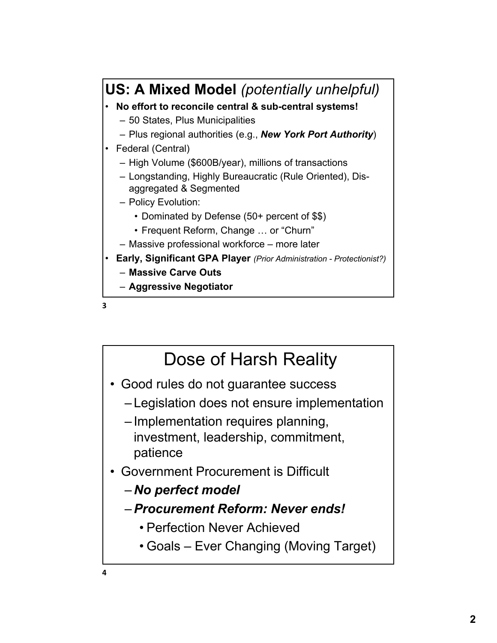



### Dose of Harsh Reality

- Good rules do not guarantee success
	- Legislation does not ensure implementation
	- Implementation requires planning, investment, leadership, commitment, patience
- Government Procurement is Difficult
	- *No perfect model*
	- –*Procurement Reform: Never ends!*
		- Perfection Never Achieved
		- Goals Ever Changing (Moving Target)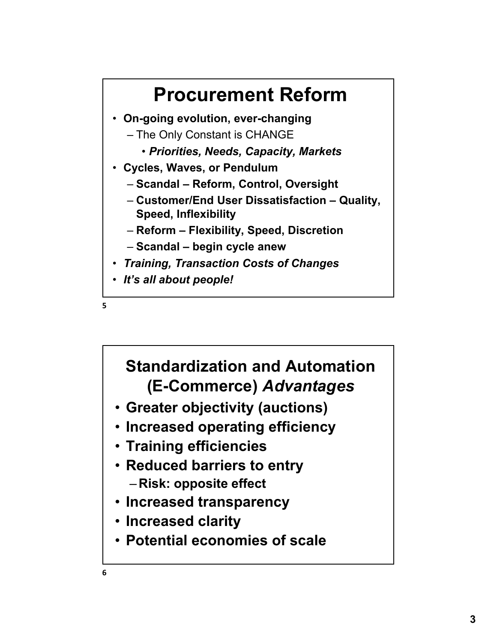



#### **Standardization and Automation (E-Commerce)** *Advantages*

- **Greater objectivity (auctions)**
- **Increased operating efficiency**
- **Training efficiencies**
- **Reduced barriers to entry** – **Risk: opposite effect**
- **Increased transparency**
- **Increased clarity**
- **Potential economies of scale**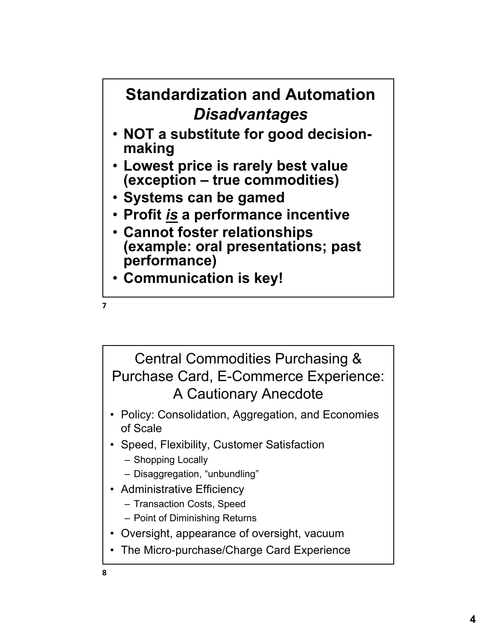

**7**

Central Commodities Purchasing & Purchase Card, E-Commerce Experience: A Cautionary Anecdote

- Policy: Consolidation, Aggregation, and Economies of Scale
- Speed, Flexibility, Customer Satisfaction
	- Shopping Locally
	- Disaggregation, "unbundling"
- Administrative Efficiency
	- Transaction Costs, Speed
	- Point of Diminishing Returns
- Oversight, appearance of oversight, vacuum
- The Micro-purchase/Charge Card Experience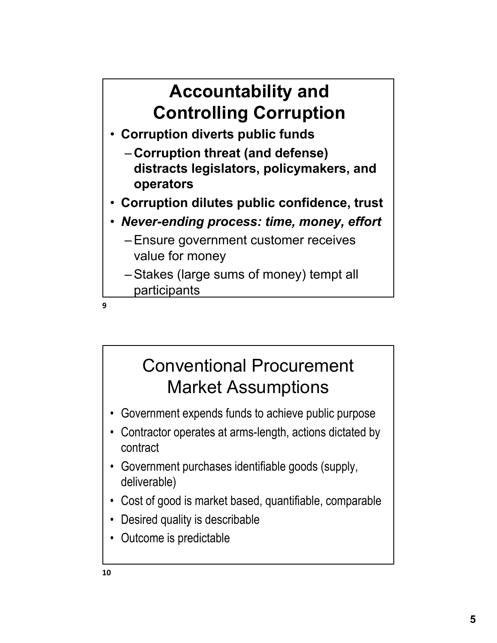# **Accountability and Controlling Corruption**

- **Corruption diverts public funds**
	- **Corruption threat (and defense) distracts legislators, policymakers, and operators**
- **Corruption dilutes public confidence, trust**
- *Never-ending process: time, money, effort*
	- Ensure government customer receives value for money
	- Stakes (large sums of money) tempt all participants

**9**

## Conventional Procurement Market Assumptions

- Government expends funds to achieve public purpose
- Contractor operates at arms-length, actions dictated by contract
- Government purchases identifiable goods (supply, deliverable)
- Cost of good is market based, quantifiable, comparable
- Desired quality is describable
- Outcome is predictable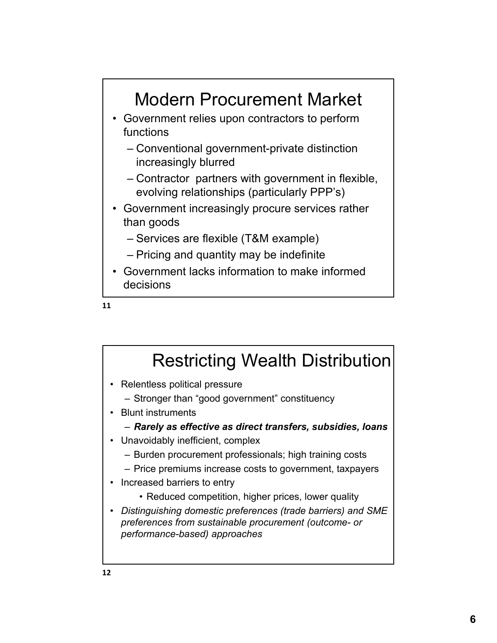

• Government lacks information to make informed decisions

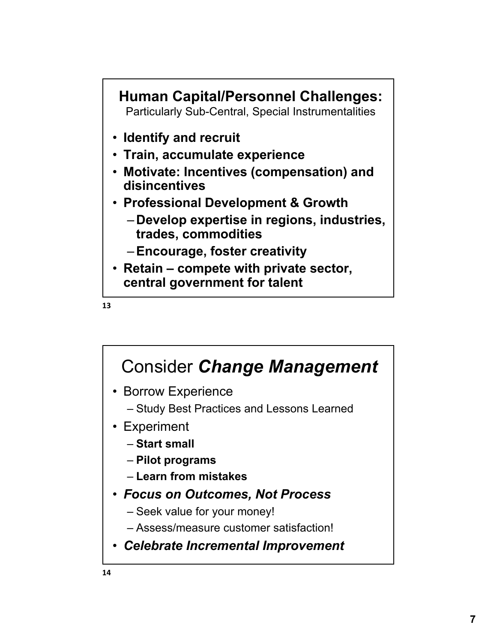